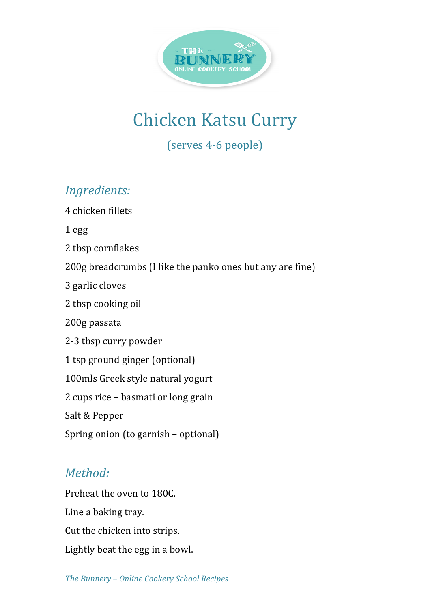

# **Chicken Katsu Curry**

(serves 4-6 people)

## **Ingredients:**

4 chicken fillets

1 egg

2 tbsp cornflakes

200g breadcrumbs (I like the panko ones but any are fine)

3 garlic cloves

2 tbsp cooking oil

200g passata

2-3 tbsp curry powder

1 tsp ground ginger (optional)

100mls Greek style natural yogurt

2 cups rice – basmati or long grain

Salt & Pepper

Spring onion (to garnish - optional)

## *Method:*

Preheat the oven to 180C. Line a baking tray. Cut the chicken into strips. Lightly beat the egg in a bowl.

The Bunnery - Online Cookery School Recipes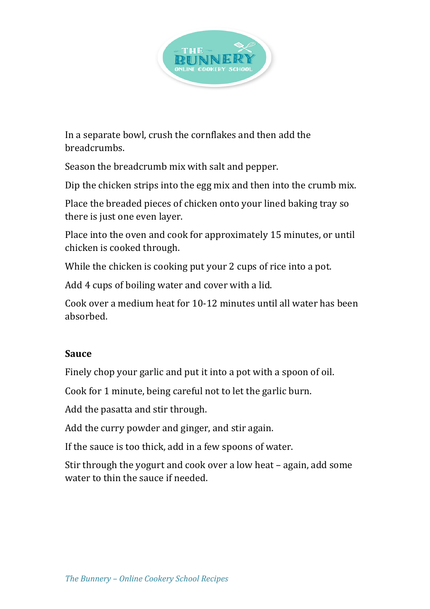

In a separate bowl, crush the cornflakes and then add the breadcrumbs. 

Season the breadcrumb mix with salt and pepper.

Dip the chicken strips into the egg mix and then into the crumb mix.

Place the breaded pieces of chicken onto your lined baking tray so there is just one even layer.

Place into the oven and cook for approximately 15 minutes, or until chicken is cooked through.

While the chicken is cooking put your 2 cups of rice into a pot.

Add 4 cups of boiling water and cover with a lid.

Cook over a medium heat for 10-12 minutes until all water has been absorbed. 

### **Sauce**

Finely chop your garlic and put it into a pot with a spoon of oil.

Cook for 1 minute, being careful not to let the garlic burn.

Add the pasatta and stir through.

Add the curry powder and ginger, and stir again.

If the sauce is too thick, add in a few spoons of water.

Stir through the yogurt and cook over a low heat  $-$  again, add some water to thin the sauce if needed.